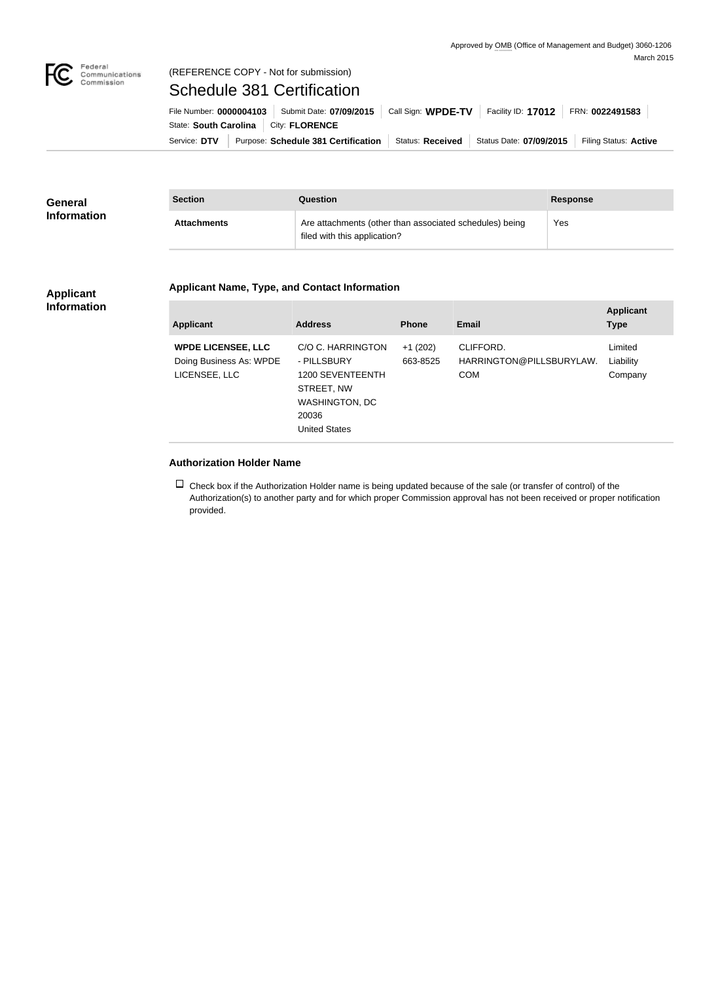

## (REFERENCE COPY - Not for submission)

Schedule 381 Certification

State: South Carolina | City: FLORENCE

Service: DTV Purpose: Schedule 381 Certification Status: Received Status Date: 07/09/2015 Filing Status: Active File Number: **0000004103** Submit Date: **07/09/2015** Call Sign: **WPDE-TV** Facility ID: **17012** FRN: **0022491583**

| <b>General</b>     | <b>Section</b>     | Question                                                                                | <b>Response</b> |
|--------------------|--------------------|-----------------------------------------------------------------------------------------|-----------------|
| <b>Information</b> | <b>Attachments</b> | Are attachments (other than associated schedules) being<br>filed with this application? | Yes             |

## **Applicant Information**

## **Applicant Name, Type, and Contact Information**

| <b>Applicant</b>                                                      | <b>Address</b>                                                                                                        | <b>Phone</b>          | Email                                               | <b>Applicant</b><br><b>Type</b> |
|-----------------------------------------------------------------------|-----------------------------------------------------------------------------------------------------------------------|-----------------------|-----------------------------------------------------|---------------------------------|
| <b>WPDE LICENSEE, LLC</b><br>Doing Business As: WPDE<br>LICENSEE, LLC | C/O C. HARRINGTON<br>- PILLSBURY<br>1200 SEVENTEENTH<br>STREET, NW<br>WASHINGTON, DC<br>20036<br><b>United States</b> | $+1(202)$<br>663-8525 | CLIFFORD.<br>HARRINGTON@PILLSBURYLAW.<br><b>COM</b> | Limited<br>Liability<br>Company |

## **Authorization Holder Name**

 $\Box$  Check box if the Authorization Holder name is being updated because of the sale (or transfer of control) of the Authorization(s) to another party and for which proper Commission approval has not been received or proper notification provided.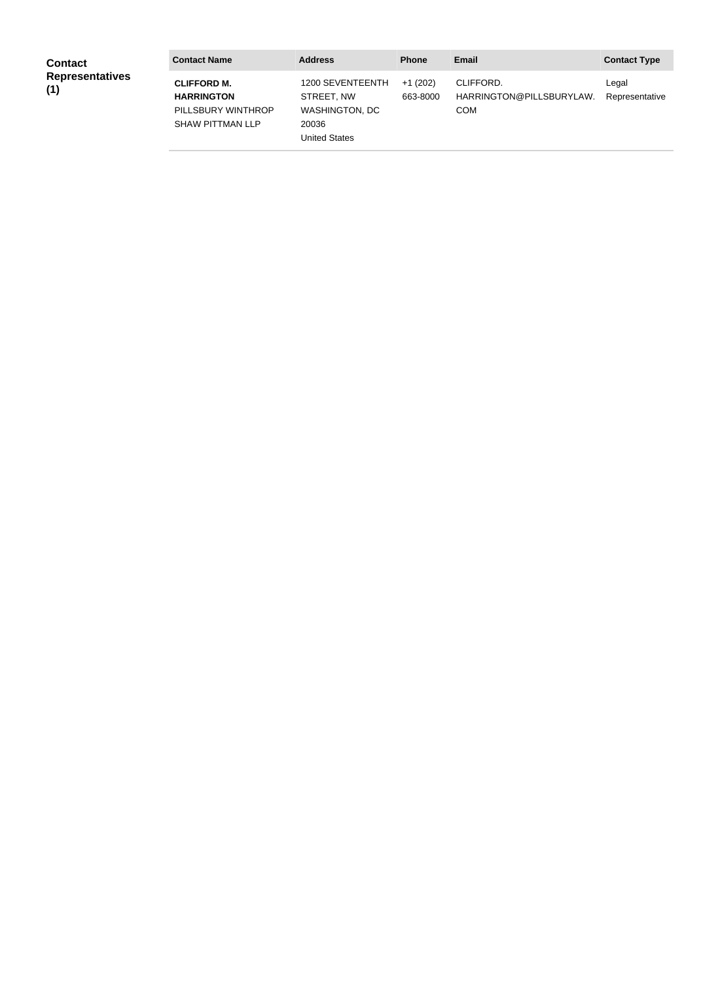| <b>Contact</b>                | <b>Contact Name</b>                                                                      | <b>Address</b>                                                                           | <b>Phone</b>          | <b>Email</b>                                        | <b>Contact Type</b>     |
|-------------------------------|------------------------------------------------------------------------------------------|------------------------------------------------------------------------------------------|-----------------------|-----------------------------------------------------|-------------------------|
| <b>Representatives</b><br>(1) | <b>CLIFFORD M.</b><br><b>HARRINGTON</b><br>PILLSBURY WINTHROP<br><b>SHAW PITTMAN LLP</b> | 1200 SEVENTEENTH<br>STREET. NW<br><b>WASHINGTON, DC</b><br>20036<br><b>United States</b> | $+1(202)$<br>663-8000 | CLIFFORD.<br>HARRINGTON@PILLSBURYLAW.<br><b>COM</b> | Legal<br>Representative |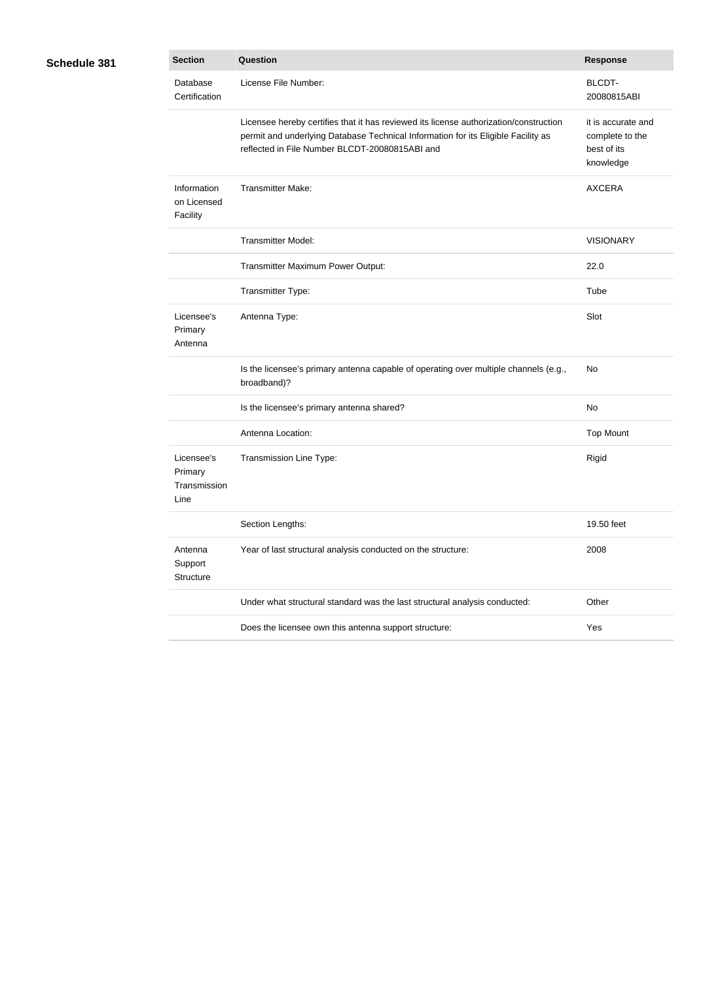| <b>Schedule 381</b> |  |
|---------------------|--|
|                     |  |

| }1 | <b>Section</b>                                | <b>Question</b>                                                                                                                                                                                                              | <b>Response</b>                                                   |
|----|-----------------------------------------------|------------------------------------------------------------------------------------------------------------------------------------------------------------------------------------------------------------------------------|-------------------------------------------------------------------|
|    | Database<br>Certification                     | License File Number:                                                                                                                                                                                                         | <b>BLCDT-</b><br>20080815ABI                                      |
|    |                                               | Licensee hereby certifies that it has reviewed its license authorization/construction<br>permit and underlying Database Technical Information for its Eligible Facility as<br>reflected in File Number BLCDT-20080815ABI and | it is accurate and<br>complete to the<br>best of its<br>knowledge |
|    | Information<br>on Licensed<br>Facility        | <b>Transmitter Make:</b>                                                                                                                                                                                                     | <b>AXCERA</b>                                                     |
|    |                                               | <b>Transmitter Model:</b>                                                                                                                                                                                                    | <b>VISIONARY</b>                                                  |
|    |                                               | Transmitter Maximum Power Output:                                                                                                                                                                                            | 22.0                                                              |
|    |                                               | Transmitter Type:                                                                                                                                                                                                            | Tube                                                              |
|    | Licensee's<br>Primary<br>Antenna              | Antenna Type:                                                                                                                                                                                                                | Slot                                                              |
|    |                                               | Is the licensee's primary antenna capable of operating over multiple channels (e.g.,<br>broadband)?                                                                                                                          | No                                                                |
|    |                                               | Is the licensee's primary antenna shared?                                                                                                                                                                                    | No                                                                |
|    |                                               | Antenna Location:                                                                                                                                                                                                            | <b>Top Mount</b>                                                  |
|    | Licensee's<br>Primary<br>Transmission<br>Line | Transmission Line Type:                                                                                                                                                                                                      | Rigid                                                             |
|    |                                               | Section Lengths:                                                                                                                                                                                                             | 19.50 feet                                                        |
|    | Antenna<br>Support<br>Structure               | Year of last structural analysis conducted on the structure:                                                                                                                                                                 | 2008                                                              |
|    |                                               | Under what structural standard was the last structural analysis conducted:                                                                                                                                                   | Other                                                             |
|    |                                               | Does the licensee own this antenna support structure:                                                                                                                                                                        | Yes                                                               |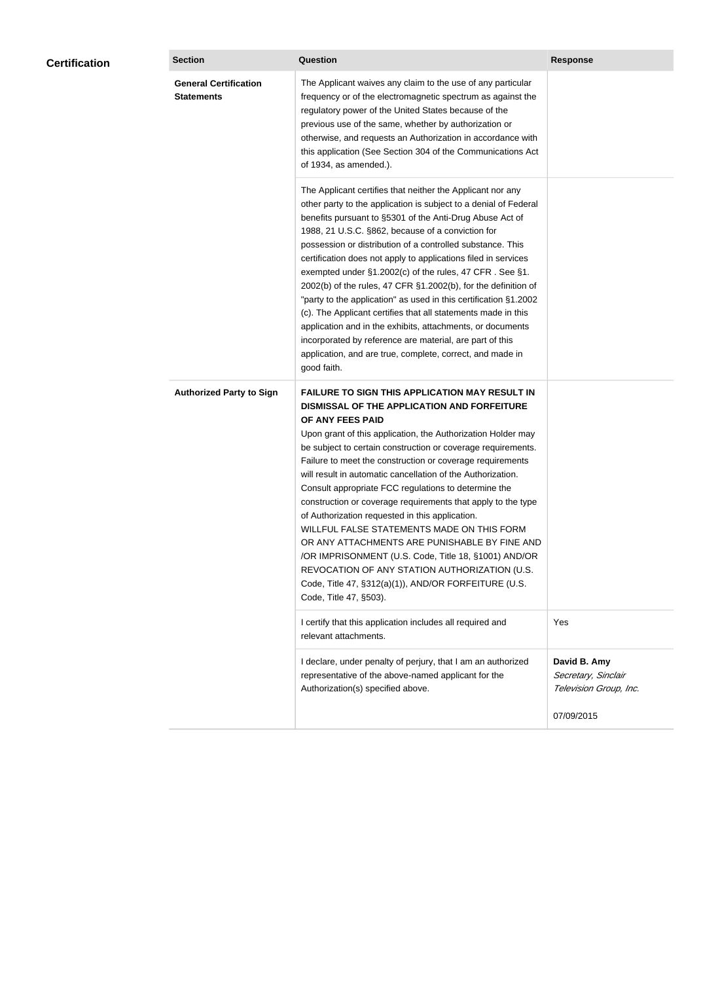| <b>Certification</b> | <b>Section</b>                                    | <b>Question</b>                                                                                                                                                                                                                                                                                                                                                                                                                                                                                                                                                                                                                                                                                                                                                                                                                                           | <b>Response</b>                                               |  |
|----------------------|---------------------------------------------------|-----------------------------------------------------------------------------------------------------------------------------------------------------------------------------------------------------------------------------------------------------------------------------------------------------------------------------------------------------------------------------------------------------------------------------------------------------------------------------------------------------------------------------------------------------------------------------------------------------------------------------------------------------------------------------------------------------------------------------------------------------------------------------------------------------------------------------------------------------------|---------------------------------------------------------------|--|
|                      | <b>General Certification</b><br><b>Statements</b> | The Applicant waives any claim to the use of any particular<br>frequency or of the electromagnetic spectrum as against the<br>regulatory power of the United States because of the<br>previous use of the same, whether by authorization or<br>otherwise, and requests an Authorization in accordance with<br>this application (See Section 304 of the Communications Act<br>of 1934, as amended.).                                                                                                                                                                                                                                                                                                                                                                                                                                                       |                                                               |  |
|                      |                                                   | The Applicant certifies that neither the Applicant nor any<br>other party to the application is subject to a denial of Federal<br>benefits pursuant to §5301 of the Anti-Drug Abuse Act of<br>1988, 21 U.S.C. §862, because of a conviction for<br>possession or distribution of a controlled substance. This<br>certification does not apply to applications filed in services<br>exempted under §1.2002(c) of the rules, 47 CFR. See §1.<br>2002(b) of the rules, 47 CFR §1.2002(b), for the definition of<br>"party to the application" as used in this certification §1.2002<br>(c). The Applicant certifies that all statements made in this<br>application and in the exhibits, attachments, or documents<br>incorporated by reference are material, are part of this<br>application, and are true, complete, correct, and made in<br>good faith.   |                                                               |  |
|                      | <b>Authorized Party to Sign</b>                   | <b>FAILURE TO SIGN THIS APPLICATION MAY RESULT IN</b><br>DISMISSAL OF THE APPLICATION AND FORFEITURE<br>OF ANY FEES PAID<br>Upon grant of this application, the Authorization Holder may<br>be subject to certain construction or coverage requirements.<br>Failure to meet the construction or coverage requirements<br>will result in automatic cancellation of the Authorization.<br>Consult appropriate FCC regulations to determine the<br>construction or coverage requirements that apply to the type<br>of Authorization requested in this application.<br>WILLFUL FALSE STATEMENTS MADE ON THIS FORM<br>OR ANY ATTACHMENTS ARE PUNISHABLE BY FINE AND<br>/OR IMPRISONMENT (U.S. Code, Title 18, §1001) AND/OR<br>REVOCATION OF ANY STATION AUTHORIZATION (U.S.<br>Code, Title 47, §312(a)(1)), AND/OR FORFEITURE (U.S.<br>Code, Title 47, §503). |                                                               |  |
|                      |                                                   | I certify that this application includes all required and<br>relevant attachments.                                                                                                                                                                                                                                                                                                                                                                                                                                                                                                                                                                                                                                                                                                                                                                        | Yes                                                           |  |
|                      |                                                   | I declare, under penalty of perjury, that I am an authorized<br>representative of the above-named applicant for the<br>Authorization(s) specified above.                                                                                                                                                                                                                                                                                                                                                                                                                                                                                                                                                                                                                                                                                                  | David B. Amy<br>Secretary, Sinclair<br>Television Group, Inc. |  |
|                      |                                                   |                                                                                                                                                                                                                                                                                                                                                                                                                                                                                                                                                                                                                                                                                                                                                                                                                                                           | 07/09/2015                                                    |  |